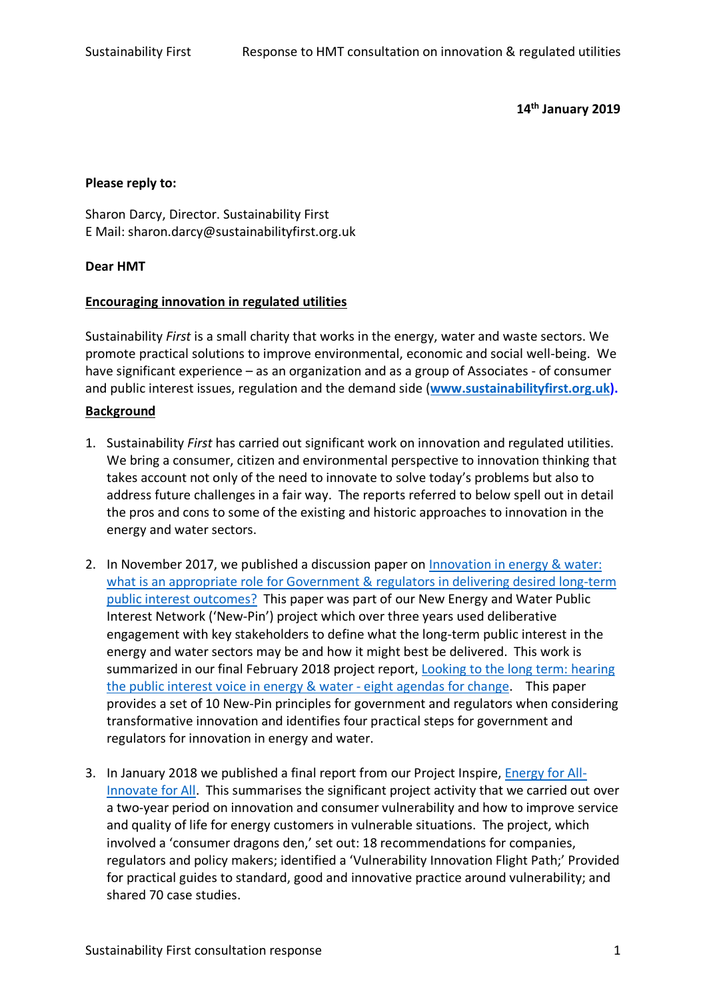### **14th January 2019**

#### **Please reply to:**

Sharon Darcy, Director. Sustainability First E Mail: sharon.darcy@sustainabilityfirst.org.uk

### **Dear HMT**

### **Encouraging innovation in regulated utilities**

Sustainability *First* is a small charity that works in the energy, water and waste sectors. We promote practical solutions to improve environmental, economic and social well-being. We have significant experience – as an organization and as a group of Associates - of consumer and public interest issues, regulation and the demand side (**www.sustainabilityfirst.org.uk).**

#### **Background**

- 1. Sustainability *First* has carried out significant work on innovation and regulated utilities. We bring a consumer, citizen and environmental perspective to innovation thinking that takes account not only of the need to innovate to solve today's problems but also to address future challenges in a fair way. The reports referred to below spell out in detail the pros and cons to some of the existing and historic approaches to innovation in the energy and water sectors.
- 2. In November 2017, we published a discussion paper on Innovation in energy & water: what is an appropriate role for Government & regulators in delivering desired long-term public interest outcomes? This paper was part of our New Energy and Water Public Interest Network ('New-Pin') project which over three years used deliberative engagement with key stakeholders to define what the long-term public interest in the energy and water sectors may be and how it might best be delivered. This work is summarized in our final February 2018 project report, Looking to the long term: hearing the public interest voice in energy & water - eight agendas for change. This paper provides a set of 10 New-Pin principles for government and regulators when considering transformative innovation and identifies four practical steps for government and regulators for innovation in energy and water.
- 3. In January 2018 we published a final report from our Project Inspire, Energy for All-Innovate for All. This summarises the significant project activity that we carried out over a two-year period on innovation and consumer vulnerability and how to improve service and quality of life for energy customers in vulnerable situations. The project, which involved a 'consumer dragons den,' set out: 18 recommendations for companies, regulators and policy makers; identified a 'Vulnerability Innovation Flight Path;' Provided for practical guides to standard, good and innovative practice around vulnerability; and shared 70 case studies.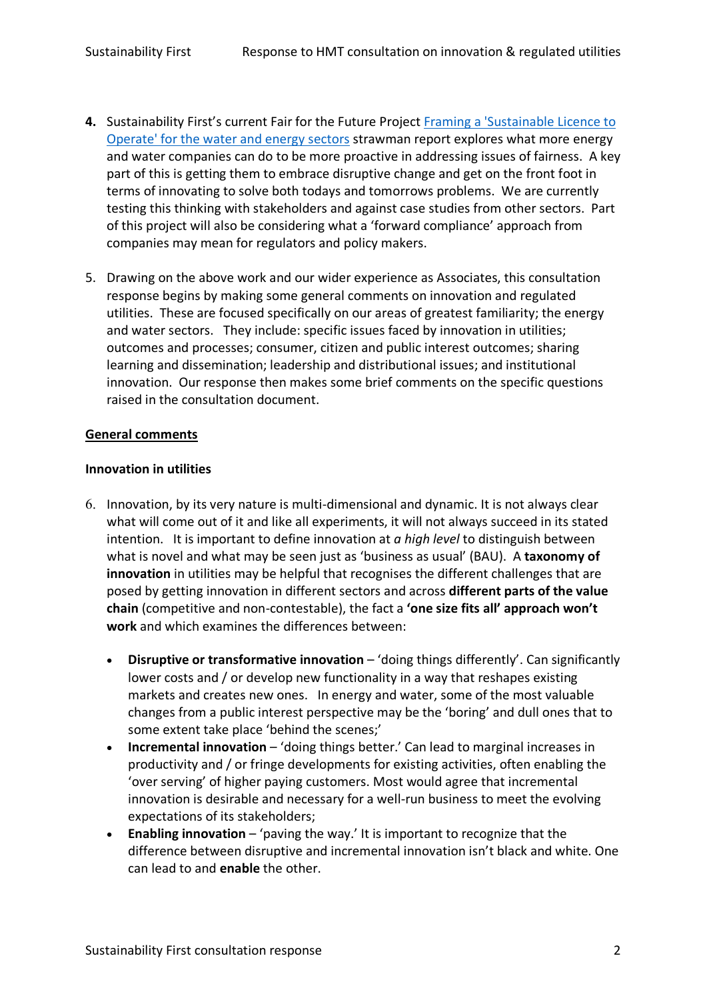- **4.** Sustainability First's current Fair for the Future Project Framing a 'Sustainable Licence to Operate' for the water and energy sectors strawman report explores what more energy and water companies can do to be more proactive in addressing issues of fairness. A key part of this is getting them to embrace disruptive change and get on the front foot in terms of innovating to solve both todays and tomorrows problems. We are currently testing this thinking with stakeholders and against case studies from other sectors. Part of this project will also be considering what a 'forward compliance' approach from companies may mean for regulators and policy makers.
- 5. Drawing on the above work and our wider experience as Associates, this consultation response begins by making some general comments on innovation and regulated utilities. These are focused specifically on our areas of greatest familiarity; the energy and water sectors. They include: specific issues faced by innovation in utilities; outcomes and processes; consumer, citizen and public interest outcomes; sharing learning and dissemination; leadership and distributional issues; and institutional innovation. Our response then makes some brief comments on the specific questions raised in the consultation document.

## **General comments**

### **Innovation in utilities**

- 6. Innovation, by its very nature is multi-dimensional and dynamic. It is not always clear what will come out of it and like all experiments, it will not always succeed in its stated intention. It is important to define innovation at *a high level* to distinguish between what is novel and what may be seen just as 'business as usual' (BAU). A **taxonomy of innovation** in utilities may be helpful that recognises the different challenges that are posed by getting innovation in different sectors and across **different parts of the value chain** (competitive and non-contestable), the fact a **'one size fits all' approach won't work** and which examines the differences between:
	- **Disruptive or transformative innovation** 'doing things differently'. Can significantly lower costs and / or develop new functionality in a way that reshapes existing markets and creates new ones. In energy and water, some of the most valuable changes from a public interest perspective may be the 'boring' and dull ones that to some extent take place 'behind the scenes;'
	- **Incremental innovation**  'doing things better.' Can lead to marginal increases in productivity and / or fringe developments for existing activities, often enabling the 'over serving' of higher paying customers. Most would agree that incremental innovation is desirable and necessary for a well-run business to meet the evolving expectations of its stakeholders;
	- **Enabling innovation** 'paving the way.' It is important to recognize that the difference between disruptive and incremental innovation isn't black and white. One can lead to and **enable** the other.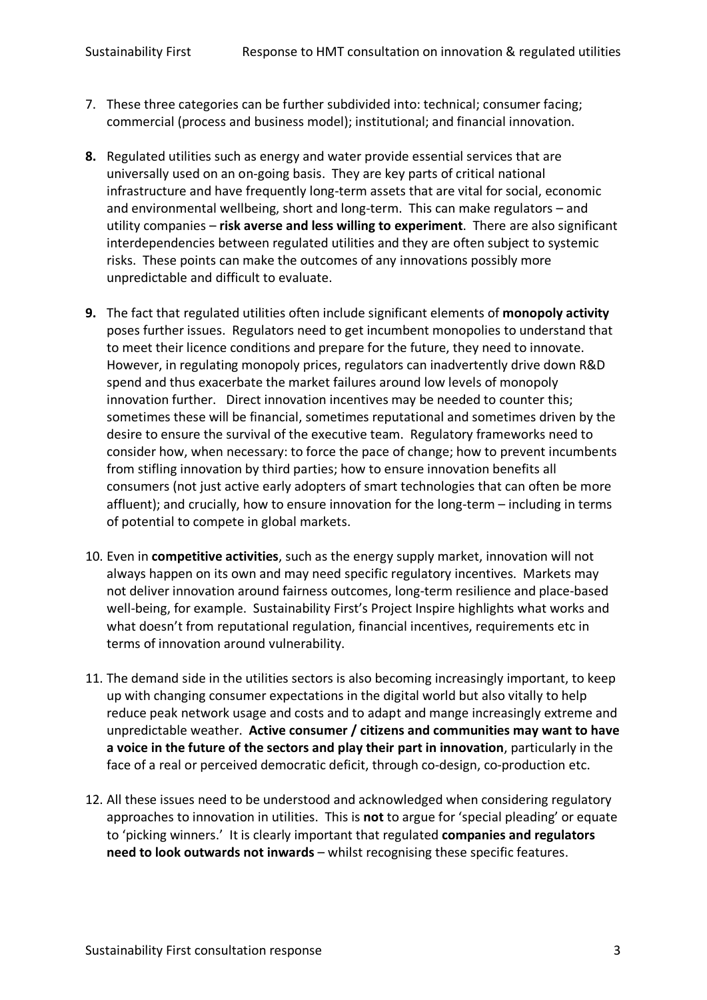- 7. These three categories can be further subdivided into: technical; consumer facing; commercial (process and business model); institutional; and financial innovation.
- **8.** Regulated utilities such as energy and water provide essential services that are universally used on an on-going basis. They are key parts of critical national infrastructure and have frequently long-term assets that are vital for social, economic and environmental wellbeing, short and long-term. This can make regulators – and utility companies – **risk averse and less willing to experiment**. There are also significant interdependencies between regulated utilities and they are often subject to systemic risks. These points can make the outcomes of any innovations possibly more unpredictable and difficult to evaluate.
- **9.** The fact that regulated utilities often include significant elements of **monopoly activity** poses further issues. Regulators need to get incumbent monopolies to understand that to meet their licence conditions and prepare for the future, they need to innovate. However, in regulating monopoly prices, regulators can inadvertently drive down R&D spend and thus exacerbate the market failures around low levels of monopoly innovation further. Direct innovation incentives may be needed to counter this; sometimes these will be financial, sometimes reputational and sometimes driven by the desire to ensure the survival of the executive team. Regulatory frameworks need to consider how, when necessary: to force the pace of change; how to prevent incumbents from stifling innovation by third parties; how to ensure innovation benefits all consumers (not just active early adopters of smart technologies that can often be more affluent); and crucially, how to ensure innovation for the long-term – including in terms of potential to compete in global markets.
- 10. Even in **competitive activities**, such as the energy supply market, innovation will not always happen on its own and may need specific regulatory incentives. Markets may not deliver innovation around fairness outcomes, long-term resilience and place-based well-being, for example. Sustainability First's Project Inspire highlights what works and what doesn't from reputational regulation, financial incentives, requirements etc in terms of innovation around vulnerability.
- 11. The demand side in the utilities sectors is also becoming increasingly important, to keep up with changing consumer expectations in the digital world but also vitally to help reduce peak network usage and costs and to adapt and mange increasingly extreme and unpredictable weather. **Active consumer / citizens and communities may want to have a voice in the future of the sectors and play their part in innovation**, particularly in the face of a real or perceived democratic deficit, through co-design, co-production etc.
- 12. All these issues need to be understood and acknowledged when considering regulatory approaches to innovation in utilities. This is **not** to argue for 'special pleading' or equate to 'picking winners.' It is clearly important that regulated **companies and regulators need to look outwards not inwards** – whilst recognising these specific features.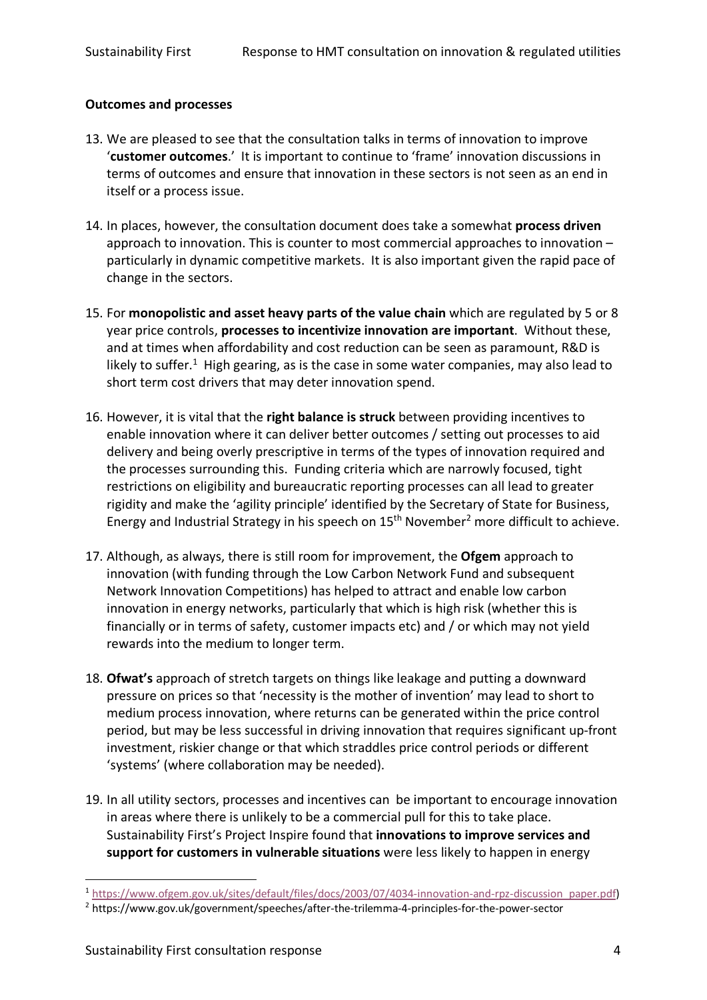### **Outcomes and processes**

- 13. We are pleased to see that the consultation talks in terms of innovation to improve '**customer outcomes**.' It is important to continue to 'frame' innovation discussions in terms of outcomes and ensure that innovation in these sectors is not seen as an end in itself or a process issue.
- 14. In places, however, the consultation document does take a somewhat **process driven** approach to innovation. This is counter to most commercial approaches to innovation – particularly in dynamic competitive markets. It is also important given the rapid pace of change in the sectors.
- 15. For **monopolistic and asset heavy parts of the value chain** which are regulated by 5 or 8 year price controls, **processes to incentivize innovation are important**. Without these, and at times when affordability and cost reduction can be seen as paramount, R&D is likely to suffer.<sup>1</sup> High gearing, as is the case in some water companies, may also lead to short term cost drivers that may deter innovation spend.
- 16. However, it is vital that the **right balance is struck** between providing incentives to enable innovation where it can deliver better outcomes / setting out processes to aid delivery and being overly prescriptive in terms of the types of innovation required and the processes surrounding this. Funding criteria which are narrowly focused, tight restrictions on eligibility and bureaucratic reporting processes can all lead to greater rigidity and make the 'agility principle' identified by the Secretary of State for Business, Energy and Industrial Strategy in his speech on 15<sup>th</sup> November<sup>2</sup> more difficult to achieve.
- 17. Although, as always, there is still room for improvement, the **Ofgem** approach to innovation (with funding through the Low Carbon Network Fund and subsequent Network Innovation Competitions) has helped to attract and enable low carbon innovation in energy networks, particularly that which is high risk (whether this is financially or in terms of safety, customer impacts etc) and / or which may not yield rewards into the medium to longer term.
- 18. **Ofwat's** approach of stretch targets on things like leakage and putting a downward pressure on prices so that 'necessity is the mother of invention' may lead to short to medium process innovation, where returns can be generated within the price control period, but may be less successful in driving innovation that requires significant up-front investment, riskier change or that which straddles price control periods or different 'systems' (where collaboration may be needed).
- 19. In all utility sectors, processes and incentives can be important to encourage innovation in areas where there is unlikely to be a commercial pull for this to take place. Sustainability First's Project Inspire found that **innovations to improve services and support for customers in vulnerable situations** were less likely to happen in energy

 <sup>1</sup> https://www.ofgem.gov.uk/sites/default/files/docs/2003/07/4034-innovation-and-rpz-discussion\_paper.pdf)

<sup>2</sup> https://www.gov.uk/government/speeches/after-the-trilemma-4-principles-for-the-power-sector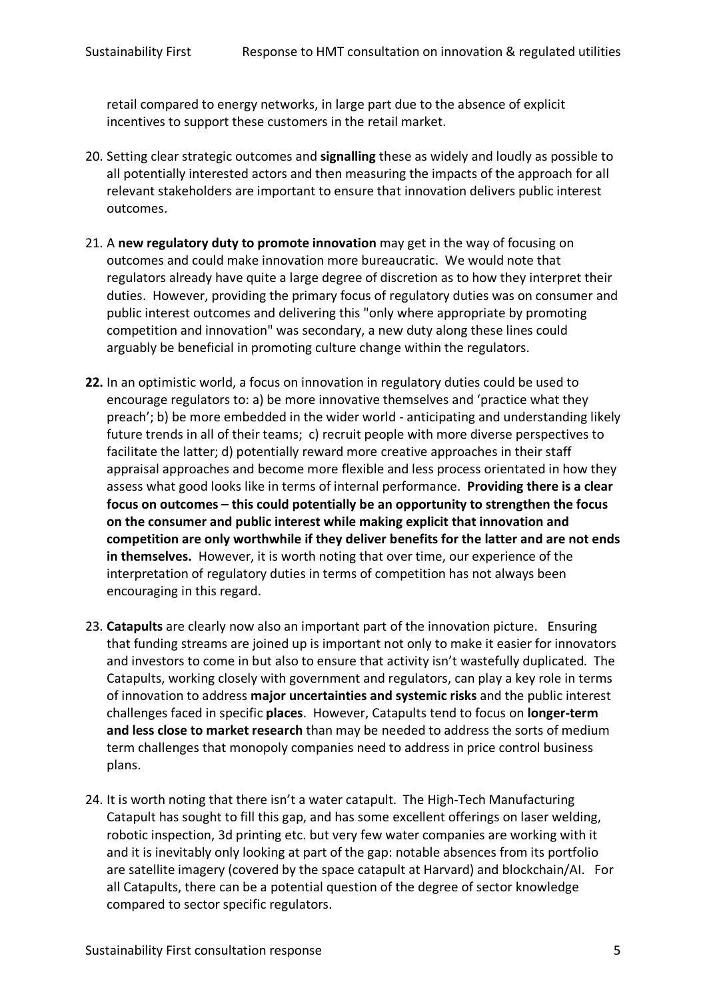retail compared to energy networks, in large part due to the absence of explicit incentives to support these customers in the retail market.

- 20. Setting clear strategic outcomes and **signalling** these as widely and loudly as possible to all potentially interested actors and then measuring the impacts of the approach for all relevant stakeholders are important to ensure that innovation delivers public interest outcomes.
- 21. A **new regulatory duty to promote innovation** may get in the way of focusing on outcomes and could make innovation more bureaucratic. We would note that regulators already have quite a large degree of discretion as to how they interpret their duties. However, providing the primary focus of regulatory duties was on consumer and public interest outcomes and delivering this "only where appropriate by promoting competition and innovation" was secondary, a new duty along these lines could arguably be beneficial in promoting culture change within the regulators.
- **22.** In an optimistic world, a focus on innovation in regulatory duties could be used to encourage regulators to: a) be more innovative themselves and 'practice what they preach'; b) be more embedded in the wider world - anticipating and understanding likely future trends in all of their teams; c) recruit people with more diverse perspectives to facilitate the latter; d) potentially reward more creative approaches in their staff appraisal approaches and become more flexible and less process orientated in how they assess what good looks like in terms of internal performance. **Providing there is a clear focus on outcomes – this could potentially be an opportunity to strengthen the focus on the consumer and public interest while making explicit that innovation and competition are only worthwhile if they deliver benefits for the latter and are not ends in themselves.** However, it is worth noting that over time, our experience of the interpretation of regulatory duties in terms of competition has not always been encouraging in this regard.
- 23. **Catapults** are clearly now also an important part of the innovation picture. Ensuring that funding streams are joined up is important not only to make it easier for innovators and investors to come in but also to ensure that activity isn't wastefully duplicated. The Catapults, working closely with government and regulators, can play a key role in terms of innovation to address **major uncertainties and systemic risks** and the public interest challenges faced in specific **places**. However, Catapults tend to focus on **longer-term and less close to market research** than may be needed to address the sorts of medium term challenges that monopoly companies need to address in price control business plans.
- 24. It is worth noting that there isn't a water catapult. The High-Tech Manufacturing Catapult has sought to fill this gap, and has some excellent offerings on laser welding, robotic inspection, 3d printing etc. but very few water companies are working with it and it is inevitably only looking at part of the gap: notable absences from its portfolio are satellite imagery (covered by the space catapult at Harvard) and blockchain/AI. For all Catapults, there can be a potential question of the degree of sector knowledge compared to sector specific regulators.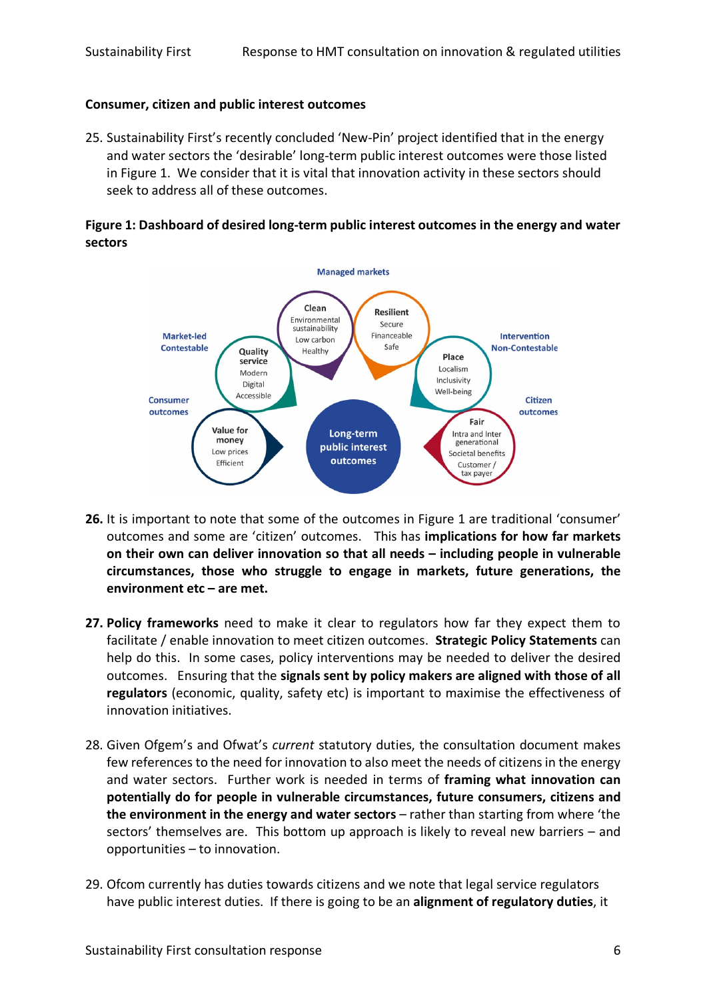### **Consumer, citizen and public interest outcomes**

25. Sustainability First's recently concluded 'New-Pin' project identified that in the energy and water sectors the 'desirable' long-term public interest outcomes were those listed in Figure 1. We consider that it is vital that innovation activity in these sectors should seek to address all of these outcomes.

# **Figure 1: Dashboard of desired long-term public interest outcomes in the energy and water sectors**



- **26.** It is important to note that some of the outcomes in Figure 1 are traditional 'consumer' outcomes and some are 'citizen' outcomes. This has **implications for how far markets on their own can deliver innovation so that all needs – including people in vulnerable circumstances, those who struggle to engage in markets, future generations, the environment etc – are met.**
- **27. Policy frameworks** need to make it clear to regulators how far they expect them to facilitate / enable innovation to meet citizen outcomes. **Strategic Policy Statements** can help do this. In some cases, policy interventions may be needed to deliver the desired outcomes. Ensuring that the **signals sent by policy makers are aligned with those of all regulators** (economic, quality, safety etc) is important to maximise the effectiveness of innovation initiatives.
- 28. Given Ofgem's and Ofwat's *current* statutory duties, the consultation document makes few references to the need for innovation to also meet the needs of citizens in the energy and water sectors. Further work is needed in terms of **framing what innovation can potentially do for people in vulnerable circumstances, future consumers, citizens and the environment in the energy and water sectors** – rather than starting from where 'the sectors' themselves are. This bottom up approach is likely to reveal new barriers – and opportunities – to innovation.
- 29. Ofcom currently has duties towards citizens and we note that legal service regulators have public interest duties. If there is going to be an **alignment of regulatory duties**, it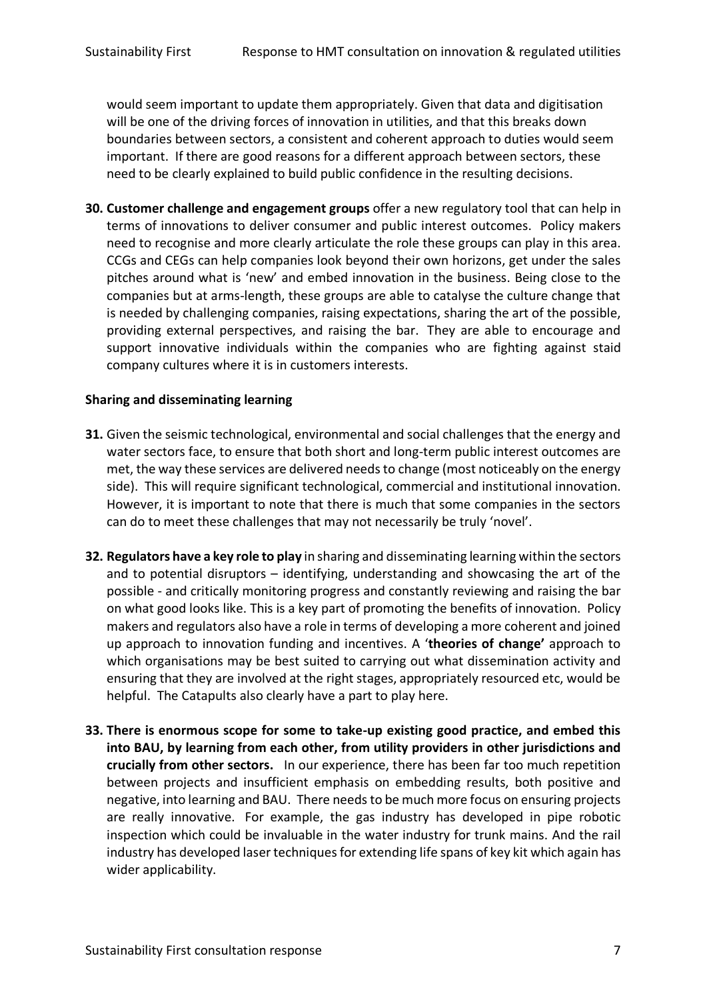would seem important to update them appropriately. Given that data and digitisation will be one of the driving forces of innovation in utilities, and that this breaks down boundaries between sectors, a consistent and coherent approach to duties would seem important. If there are good reasons for a different approach between sectors, these need to be clearly explained to build public confidence in the resulting decisions.

**30. Customer challenge and engagement groups** offer a new regulatory tool that can help in terms of innovations to deliver consumer and public interest outcomes. Policy makers need to recognise and more clearly articulate the role these groups can play in this area. CCGs and CEGs can help companies look beyond their own horizons, get under the sales pitches around what is 'new' and embed innovation in the business. Being close to the companies but at arms-length, these groups are able to catalyse the culture change that is needed by challenging companies, raising expectations, sharing the art of the possible, providing external perspectives, and raising the bar. They are able to encourage and support innovative individuals within the companies who are fighting against staid company cultures where it is in customers interests.

# **Sharing and disseminating learning**

- **31.** Given the seismic technological, environmental and social challenges that the energy and water sectors face, to ensure that both short and long-term public interest outcomes are met, the way these services are delivered needs to change (most noticeably on the energy side). This will require significant technological, commercial and institutional innovation. However, it is important to note that there is much that some companies in the sectors can do to meet these challenges that may not necessarily be truly 'novel'.
- **32. Regulators have a key role to play** in sharing and disseminating learning within the sectors and to potential disruptors – identifying, understanding and showcasing the art of the possible - and critically monitoring progress and constantly reviewing and raising the bar on what good looks like. This is a key part of promoting the benefits of innovation. Policy makers and regulators also have a role in terms of developing a more coherent and joined up approach to innovation funding and incentives. A '**theories of change'** approach to which organisations may be best suited to carrying out what dissemination activity and ensuring that they are involved at the right stages, appropriately resourced etc, would be helpful. The Catapults also clearly have a part to play here.
- **33. There is enormous scope for some to take-up existing good practice, and embed this into BAU, by learning from each other, from utility providers in other jurisdictions and crucially from other sectors.** In our experience, there has been far too much repetition between projects and insufficient emphasis on embedding results, both positive and negative, into learning and BAU. There needs to be much more focus on ensuring projects are really innovative. For example, the gas industry has developed in pipe robotic inspection which could be invaluable in the water industry for trunk mains. And the rail industry has developed laser techniques for extending life spans of key kit which again has wider applicability.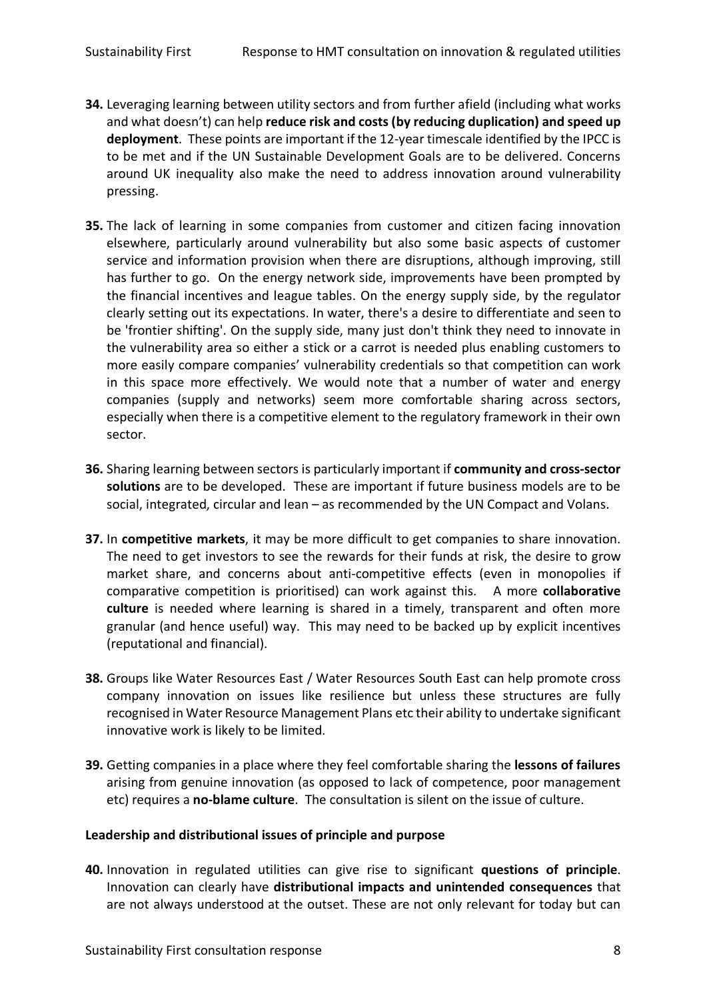- **34.** Leveraging learning between utility sectors and from further afield (including what works and what doesn't) can help **reduce risk and costs (by reducing duplication) and speed up deployment**. These points are important if the 12-year timescale identified by the IPCC is to be met and if the UN Sustainable Development Goals are to be delivered. Concerns around UK inequality also make the need to address innovation around vulnerability pressing.
- **35.** The lack of learning in some companies from customer and citizen facing innovation elsewhere, particularly around vulnerability but also some basic aspects of customer service and information provision when there are disruptions, although improving, still has further to go. On the energy network side, improvements have been prompted by the financial incentives and league tables. On the energy supply side, by the regulator clearly setting out its expectations. In water, there's a desire to differentiate and seen to be 'frontier shifting'. On the supply side, many just don't think they need to innovate in the vulnerability area so either a stick or a carrot is needed plus enabling customers to more easily compare companies' vulnerability credentials so that competition can work in this space more effectively. We would note that a number of water and energy companies (supply and networks) seem more comfortable sharing across sectors, especially when there is a competitive element to the regulatory framework in their own sector.
- **36.** Sharing learning between sectors is particularly important if **community and cross-sector solutions** are to be developed. These are important if future business models are to be social, integrated, circular and lean – as recommended by the UN Compact and Volans.
- **37.** In **competitive markets**, it may be more difficult to get companies to share innovation. The need to get investors to see the rewards for their funds at risk, the desire to grow market share, and concerns about anti-competitive effects (even in monopolies if comparative competition is prioritised) can work against this. A more **collaborative culture** is needed where learning is shared in a timely, transparent and often more granular (and hence useful) way. This may need to be backed up by explicit incentives (reputational and financial).
- **38.** Groups like Water Resources East / Water Resources South East can help promote cross company innovation on issues like resilience but unless these structures are fully recognised in Water Resource Management Plans etc their ability to undertake significant innovative work is likely to be limited.
- **39.** Getting companies in a place where they feel comfortable sharing the **lessons of failures** arising from genuine innovation (as opposed to lack of competence, poor management etc) requires a **no-blame culture**. The consultation is silent on the issue of culture.

### **Leadership and distributional issues of principle and purpose**

**40.** Innovation in regulated utilities can give rise to significant **questions of principle**. Innovation can clearly have **distributional impacts and unintended consequences** that are not always understood at the outset. These are not only relevant for today but can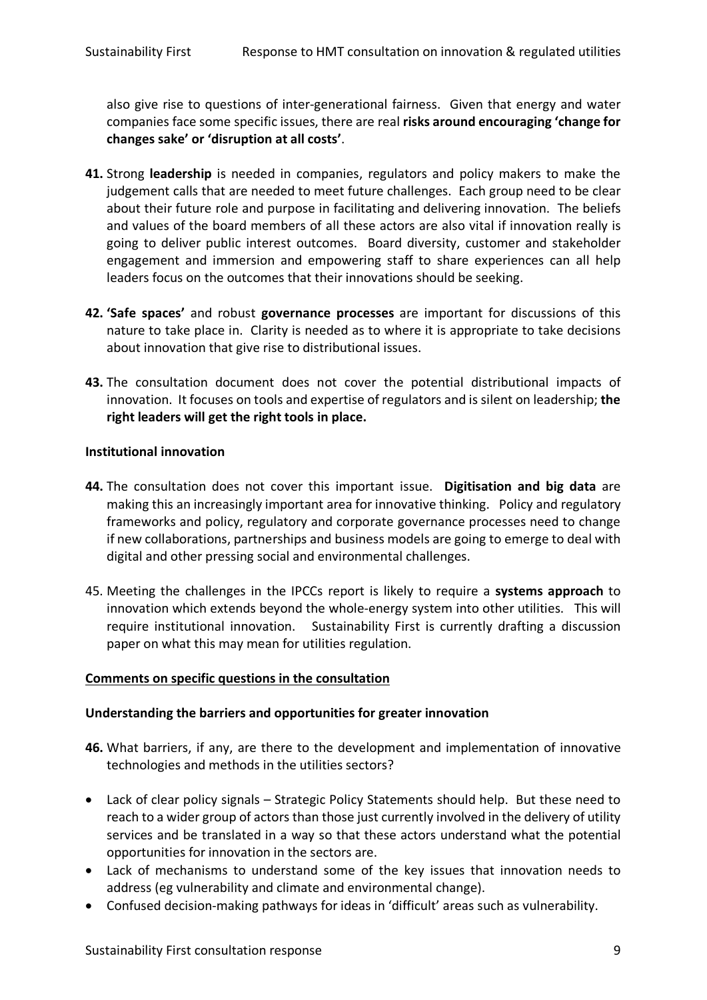also give rise to questions of inter-generational fairness. Given that energy and water companies face some specific issues, there are real **risks around encouraging 'change for changes sake' or 'disruption at all costs'**.

- **41.** Strong **leadership** is needed in companies, regulators and policy makers to make the judgement calls that are needed to meet future challenges. Each group need to be clear about their future role and purpose in facilitating and delivering innovation. The beliefs and values of the board members of all these actors are also vital if innovation really is going to deliver public interest outcomes. Board diversity, customer and stakeholder engagement and immersion and empowering staff to share experiences can all help leaders focus on the outcomes that their innovations should be seeking.
- **42. 'Safe spaces'** and robust **governance processes** are important for discussions of this nature to take place in. Clarity is needed as to where it is appropriate to take decisions about innovation that give rise to distributional issues.
- **43.** The consultation document does not cover the potential distributional impacts of innovation. It focuses on tools and expertise of regulators and is silent on leadership; **the right leaders will get the right tools in place.**

## **Institutional innovation**

- **44.** The consultation does not cover this important issue. **Digitisation and big data** are making this an increasingly important area for innovative thinking. Policy and regulatory frameworks and policy, regulatory and corporate governance processes need to change if new collaborations, partnerships and business models are going to emerge to deal with digital and other pressing social and environmental challenges.
- 45. Meeting the challenges in the IPCCs report is likely to require a **systems approach** to innovation which extends beyond the whole-energy system into other utilities. This will require institutional innovation. Sustainability First is currently drafting a discussion paper on what this may mean for utilities regulation.

# **Comments on specific questions in the consultation**

# **Understanding the barriers and opportunities for greater innovation**

- **46.** What barriers, if any, are there to the development and implementation of innovative technologies and methods in the utilities sectors?
- Lack of clear policy signals Strategic Policy Statements should help. But these need to reach to a wider group of actors than those just currently involved in the delivery of utility services and be translated in a way so that these actors understand what the potential opportunities for innovation in the sectors are.
- Lack of mechanisms to understand some of the key issues that innovation needs to address (eg vulnerability and climate and environmental change).
- Confused decision-making pathways for ideas in 'difficult' areas such as vulnerability.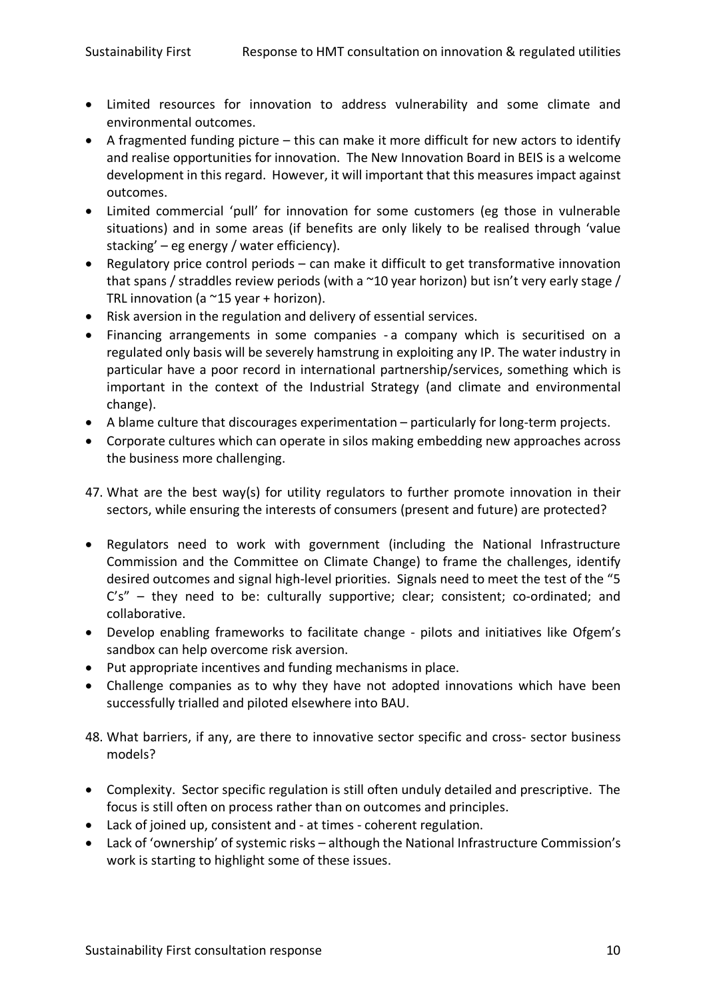- Limited resources for innovation to address vulnerability and some climate and environmental outcomes.
- A fragmented funding picture this can make it more difficult for new actors to identify and realise opportunities for innovation. The New Innovation Board in BEIS is a welcome development in this regard. However, it will important that this measures impact against outcomes.
- Limited commercial 'pull' for innovation for some customers (eg those in vulnerable situations) and in some areas (if benefits are only likely to be realised through 'value stacking' – eg energy / water efficiency).
- Regulatory price control periods can make it difficult to get transformative innovation that spans / straddles review periods (with a ~10 year horizon) but isn't very early stage / TRL innovation (a  $\sim$ 15 year + horizon).
- Risk aversion in the regulation and delivery of essential services.
- Financing arrangements in some companies a company which is securitised on a regulated only basis will be severely hamstrung in exploiting any IP. The water industry in particular have a poor record in international partnership/services, something which is important in the context of the Industrial Strategy (and climate and environmental change).
- A blame culture that discourages experimentation particularly for long-term projects.
- Corporate cultures which can operate in silos making embedding new approaches across the business more challenging.
- 47. What are the best way(s) for utility regulators to further promote innovation in their sectors, while ensuring the interests of consumers (present and future) are protected?
- Regulators need to work with government (including the National Infrastructure Commission and the Committee on Climate Change) to frame the challenges, identify desired outcomes and signal high-level priorities. Signals need to meet the test of the "5 C's" - they need to be: culturally supportive; clear; consistent; co-ordinated; and collaborative.
- Develop enabling frameworks to facilitate change pilots and initiatives like Ofgem's sandbox can help overcome risk aversion.
- Put appropriate incentives and funding mechanisms in place.
- Challenge companies as to why they have not adopted innovations which have been successfully trialled and piloted elsewhere into BAU.
- 48. What barriers, if any, are there to innovative sector specific and cross- sector business models?
- Complexity. Sector specific regulation is still often unduly detailed and prescriptive. The focus is still often on process rather than on outcomes and principles.
- Lack of joined up, consistent and at times coherent regulation.
- Lack of 'ownership' of systemic risks although the National Infrastructure Commission's work is starting to highlight some of these issues.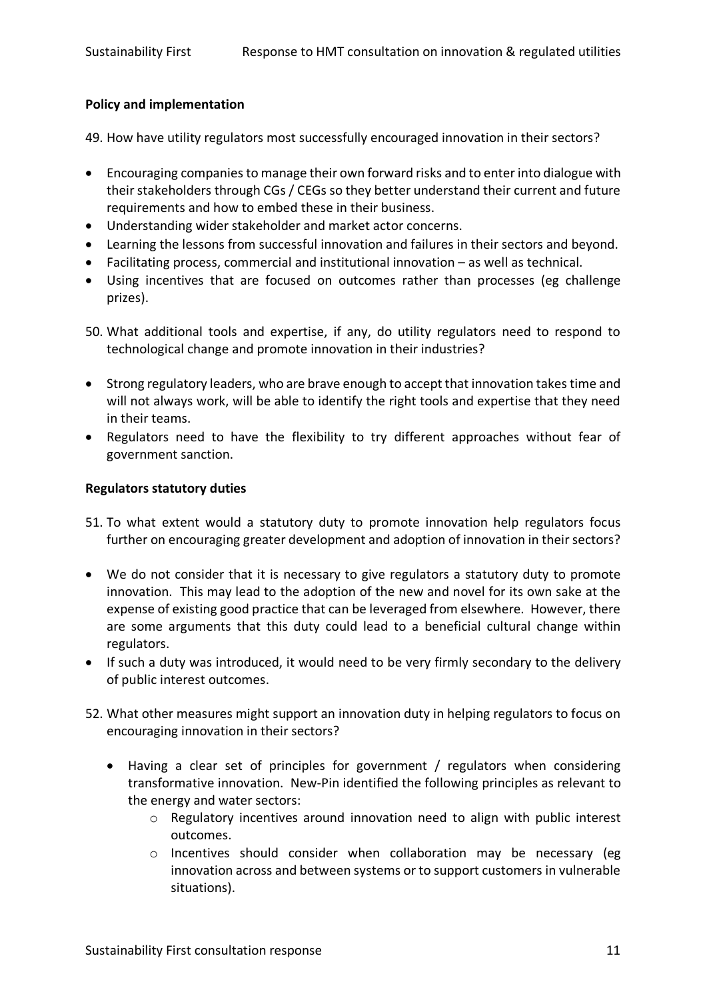## **Policy and implementation**

49. How have utility regulators most successfully encouraged innovation in their sectors?

- Encouraging companies to manage their own forward risks and to enter into dialogue with their stakeholders through CGs / CEGs so they better understand their current and future requirements and how to embed these in their business.
- Understanding wider stakeholder and market actor concerns.
- Learning the lessons from successful innovation and failures in their sectors and beyond.
- Facilitating process, commercial and institutional innovation as well as technical.
- Using incentives that are focused on outcomes rather than processes (eg challenge prizes).
- 50. What additional tools and expertise, if any, do utility regulators need to respond to technological change and promote innovation in their industries?
- Strong regulatory leaders, who are brave enough to accept that innovation takes time and will not always work, will be able to identify the right tools and expertise that they need in their teams.
- Regulators need to have the flexibility to try different approaches without fear of government sanction.

## **Regulators statutory duties**

- 51. To what extent would a statutory duty to promote innovation help regulators focus further on encouraging greater development and adoption of innovation in their sectors?
- We do not consider that it is necessary to give regulators a statutory duty to promote innovation. This may lead to the adoption of the new and novel for its own sake at the expense of existing good practice that can be leveraged from elsewhere. However, there are some arguments that this duty could lead to a beneficial cultural change within regulators.
- If such a duty was introduced, it would need to be very firmly secondary to the delivery of public interest outcomes.
- 52. What other measures might support an innovation duty in helping regulators to focus on encouraging innovation in their sectors?
	- Having a clear set of principles for government / regulators when considering transformative innovation. New-Pin identified the following principles as relevant to the energy and water sectors:
		- o Regulatory incentives around innovation need to align with public interest outcomes.
		- $\circ$  Incentives should consider when collaboration may be necessary (eg innovation across and between systems or to support customers in vulnerable situations).